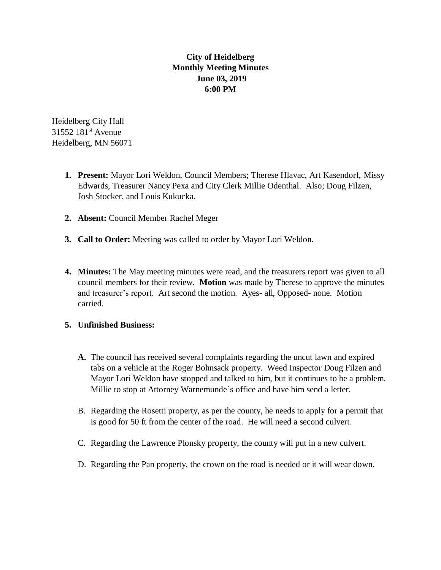## **City of Heidelberg Monthly Meeting Minutes June 03, 2019 6:00 PM**

Heidelberg City Hall 31552 181<sup>st</sup> Avenue Heidelberg, MN 56071

- **1. Present:** Mayor Lori Weldon, Council Members; Therese Hlavac, Art Kasendorf, Missy Edwards, Treasurer Nancy Pexa and City Clerk Millie Odenthal. Also; Doug Filzen, Josh Stocker, and Louis Kukucka.
- **2. Absent:** Council Member Rachel Meger
- **3. Call to Order:** Meeting was called to order by Mayor Lori Weldon.
- **4. Minutes:** The May meeting minutes were read, and the treasurers report was given to all council members for their review. **Motion** was made by Therese to approve the minutes and treasurer's report. Art second the motion. Ayes- all, Opposed- none. Motion carried.

## **5. Unfinished Business:**

- **A.** The council has received several complaints regarding the uncut lawn and expired tabs on a vehicle at the Roger Bohnsack property. Weed Inspector Doug Filzen and Mayor Lori Weldon have stopped and talked to him, but it continues to be a problem. Millie to stop at Attorney Warnemunde's office and have him send a letter.
- B. Regarding the Rosetti property, as per the county, he needs to apply for a permit that is good for 50 ft from the center of the road. He will need a second culvert.
- C. Regarding the Lawrence Plonsky property, the county will put in a new culvert.
- D. Regarding the Pan property, the crown on the road is needed or it will wear down.